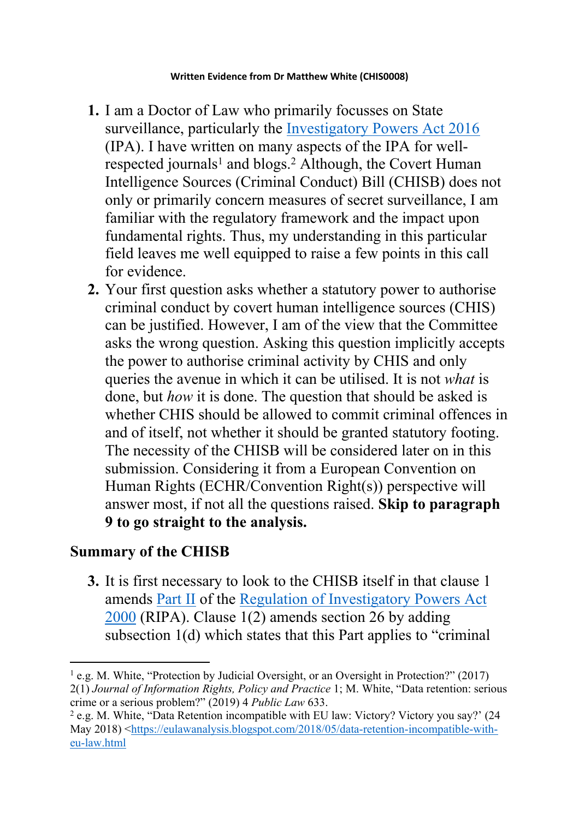- **1.** I am a Doctor of Law who primarily focusses on State surveillance, particularly the [Investigatory](https://www.legislation.gov.uk/ukpga/2016/25/contents/enacted) [Powers](https://www.legislation.gov.uk/ukpga/2016/25/contents/enacted) [Act](https://www.legislation.gov.uk/ukpga/2016/25/contents/enacted) [2016](https://www.legislation.gov.uk/ukpga/2016/25/contents/enacted) (IPA). I have written on many aspects of the IPA for wellrespected journals<sup>1</sup> and blogs.<sup>2</sup> Although, the Covert Human Intelligence Sources (Criminal Conduct) Bill (CHISB) does not only or primarily concern measures of secret surveillance, I am familiar with the regulatory framework and the impact upon fundamental rights. Thus, my understanding in this particular field leaves me well equipped to raise a few points in this call for evidence.
- **2.** Your first question asks whether a statutory power to authorise criminal conduct by covert human intelligence sources (CHIS) can be justified. However, I am of the view that the Committee asks the wrong question. Asking this question implicitly accepts the power to authorise criminal activity by CHIS and only queries the avenue in which it can be utilised. It is not *what* is done, but *how* it is done. The question that should be asked is whether CHIS should be allowed to commit criminal offences in and of itself, not whether it should be granted statutory footing. The necessity of the CHISB will be considered later on in this submission. Considering it from a European Convention on Human Rights (ECHR/Convention Right(s)) perspective will answer most, if not all the questions raised. **Skip to paragraph 9 to go straight to the analysis.**

## **Summary of the CHISB**

**3.** It is first necessary to look to the CHISB itself in that clause 1 amends [Part](https://www.legislation.gov.uk/ukpga/2000/23/part/II) [II](https://www.legislation.gov.uk/ukpga/2000/23/part/II) of the [Regulation](https://www.legislation.gov.uk/ukpga/2000/23/contents) [of](https://www.legislation.gov.uk/ukpga/2000/23/contents) [Investigatory](https://www.legislation.gov.uk/ukpga/2000/23/contents) [Powers](https://www.legislation.gov.uk/ukpga/2000/23/contents) [Act](https://www.legislation.gov.uk/ukpga/2000/23/contents) [2000](https://www.legislation.gov.uk/ukpga/2000/23/contents) (RIPA). Clause 1(2) amends section 26 by adding subsection 1(d) which states that this Part applies to "criminal

<sup>1</sup> e.g. M. White, "Protection by Judicial Oversight, or an Oversight in Protection?" (2017) 2(1) *Journal of Information Rights, Policy and Practice* 1; M. White, "Data retention: serious crime or a serious problem?" (2019) 4 *Public Law* 633.

<sup>2</sup> e.g. M. White, "Data Retention incompatible with EU law: Victory? Victory you say?' (24 May 2018) <[https://eulawanalysis.blogspot.com/2018/05/data-retention-incompatible-with](https://eulawanalysis.blogspot.com/2018/05/data-retention-incompatible-with-eu-law.html)[eu-law.html](https://eulawanalysis.blogspot.com/2018/05/data-retention-incompatible-with-eu-law.html)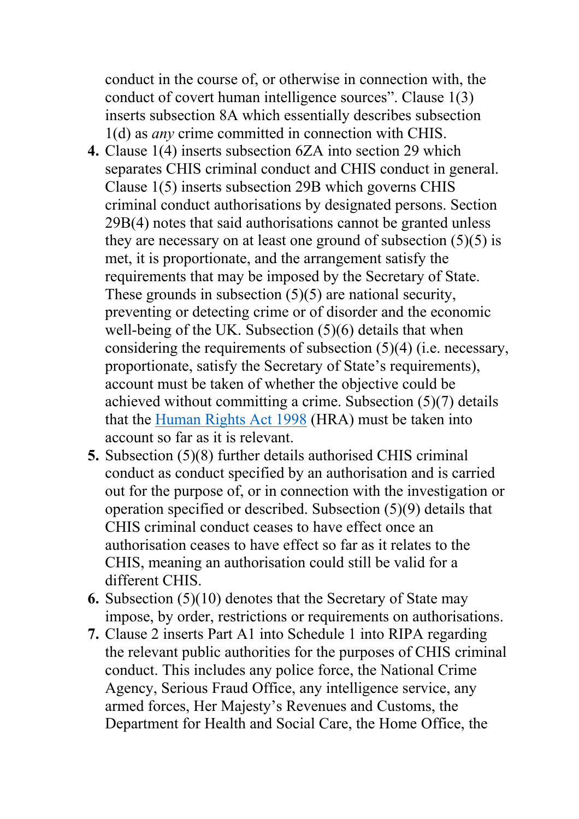conduct in the course of, or otherwise in connection with, the conduct of covert human intelligence sources". Clause 1(3) inserts subsection 8A which essentially describes subsection 1(d) as *any* crime committed in connection with CHIS.

- **4.** Clause 1(4) inserts subsection 6ZA into section 29 which separates CHIS criminal conduct and CHIS conduct in general. Clause 1(5) inserts subsection 29B which governs CHIS criminal conduct authorisations by designated persons. Section 29B(4) notes that said authorisations cannot be granted unless they are necessary on at least one ground of subsection  $(5)(5)$  is met, it is proportionate, and the arrangement satisfy the requirements that may be imposed by the Secretary of State. These grounds in subsection (5)(5) are national security, preventing or detecting crime or of disorder and the economic well-being of the UK. Subsection (5)(6) details that when considering the requirements of subsection (5)(4) (i.e. necessary, proportionate, satisfy the Secretary of State's requirements), account must be taken of whether the objective could be achieved without committing a crime. Subsection (5)(7) details that the [Human](https://www.legislation.gov.uk/ukpga/1998/42/contents) [Rights](https://www.legislation.gov.uk/ukpga/1998/42/contents) [Act](https://www.legislation.gov.uk/ukpga/1998/42/contents) [1998](https://www.legislation.gov.uk/ukpga/1998/42/contents) (HRA) must be taken into account so far as it is relevant.
- **5.** Subsection (5)(8) further details authorised CHIS criminal conduct as conduct specified by an authorisation and is carried out for the purpose of, or in connection with the investigation or operation specified or described. Subsection (5)(9) details that CHIS criminal conduct ceases to have effect once an authorisation ceases to have effect so far as it relates to the CHIS, meaning an authorisation could still be valid for a different CHIS.
- **6.** Subsection (5)(10) denotes that the Secretary of State may impose, by order, restrictions or requirements on authorisations.
- **7.** Clause 2 inserts Part A1 into Schedule 1 into RIPA regarding the relevant public authorities for the purposes of CHIS criminal conduct. This includes any police force, the National Crime Agency, Serious Fraud Office, any intelligence service, any armed forces, Her Majesty's Revenues and Customs, the Department for Health and Social Care, the Home Office, the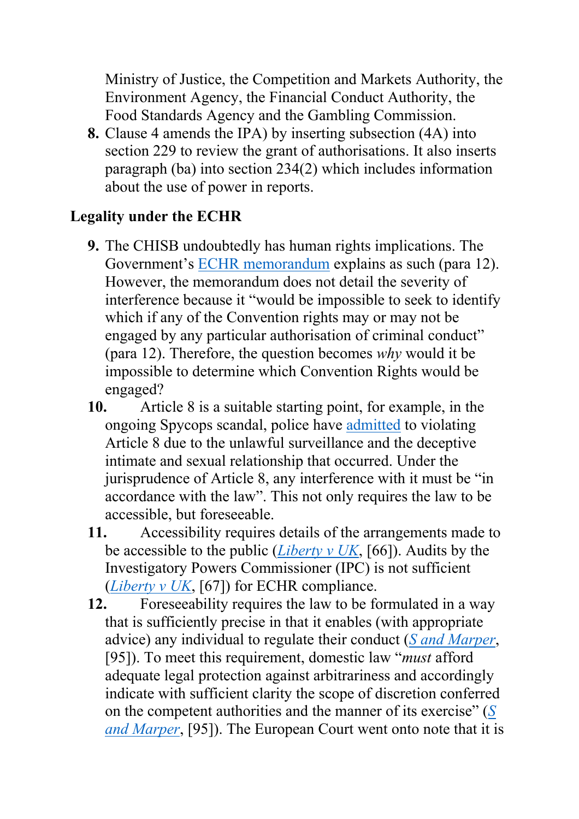Ministry of Justice, the Competition and Markets Authority, the Environment Agency, the Financial Conduct Authority, the Food Standards Agency and the Gambling Commission.

**8.** Clause 4 amends the IPA) by inserting subsection (4A) into section 229 to review the grant of authorisations. It also inserts paragraph (ba) into section 234(2) which includes information about the use of power in reports.

## **Legality under the ECHR**

- **9.** The CHISB undoubtedly has human rights implications. The Government's [ECHR](https://publications.parliament.uk/pa/bills/cbill/58-01/0188/CHIS%20(CC)%20Bill%20-%20ECHR%20Memo%20FINAL.pdf) [memorandum](https://publications.parliament.uk/pa/bills/cbill/58-01/0188/CHIS%20(CC)%20Bill%20-%20ECHR%20Memo%20FINAL.pdf) explains as such (para 12). However, the memorandum does not detail the severity of interference because it "would be impossible to seek to identify which if any of the Convention rights may or may not be engaged by any particular authorisation of criminal conduct" (para 12). Therefore, the question becomes *why* would it be impossible to determine which Convention Rights would be engaged?
- **10.** Article 8 is a suitable starting point, for example, in the ongoing Spycops scandal, police have [admitted](https://policespiesoutoflives.org.uk/admissions-in-human-rights-case-highlights-needs-for-limits-on-intrusion-by-undercover-police/) to violating Article 8 due to the unlawful surveillance and the deceptive intimate and sexual relationship that occurred. Under the jurisprudence of Article 8, any interference with it must be "in accordance with the law". This not only requires the law to be accessible, but foreseeable.
- **11.** Accessibility requires details of the arrangements made to be accessible to the public (*[Liberty](http://hudoc.echr.coe.int/eng?i=001-87207) [v](http://hudoc.echr.coe.int/eng?i=001-87207) [UK](http://hudoc.echr.coe.int/eng?i=001-87207)*, [66]). Audits by the Investigatory Powers Commissioner (IPC) is not sufficient (*[Liberty](http://hudoc.echr.coe.int/eng?i=001-87207) [v](http://hudoc.echr.coe.int/eng?i=001-87207) [UK](http://hudoc.echr.coe.int/eng?i=001-87207)*, [67]) for ECHR compliance.
- **12.** Foreseeability requires the law to be formulated in a way that is sufficiently precise in that it enables (with appropriate advice) any individual to regulate their conduct (*[S](http://hudoc.echr.coe.int/eng?i=001-90051) [and](http://hudoc.echr.coe.int/eng?i=001-90051) [Marper](http://hudoc.echr.coe.int/eng?i=001-90051)*, [95]). To meet this requirement, domestic law "*must* afford adequate legal protection against arbitrariness and accordingly indicate with sufficient clarity the scope of discretion conferred on the competent authorities and the manner of its exercise" (*[S](http://hudoc.echr.coe.int/eng?i=001-90051) [and](http://hudoc.echr.coe.int/eng?i=001-90051) [Marper](http://hudoc.echr.coe.int/eng?i=001-90051)*, [95]). The European Court went onto note that it is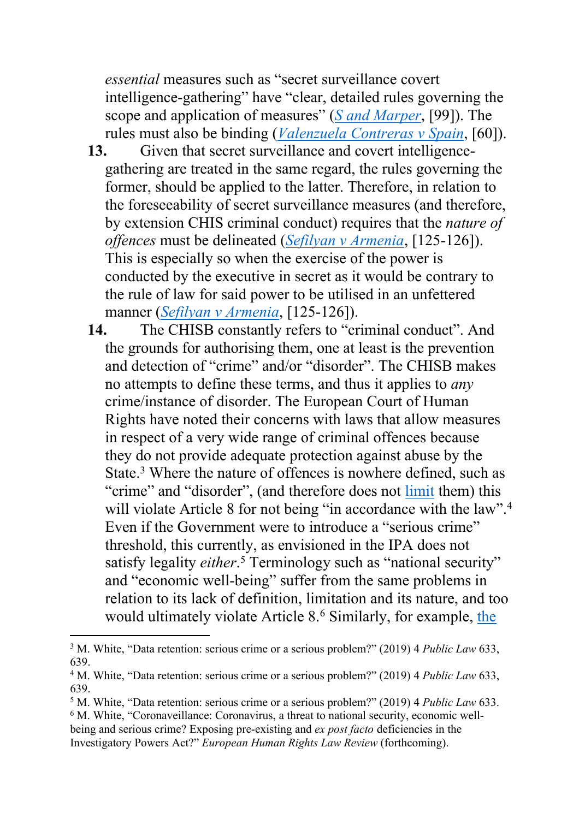*essential* measures such as "secret surveillance covert intelligence-gathering" have "clear, detailed rules governing the scope and application of measures" (*[S](http://hudoc.echr.coe.int/eng?i=001-90051) [and](http://hudoc.echr.coe.int/eng?i=001-90051) [Marper](http://hudoc.echr.coe.int/eng?i=001-90051)*, [99]). The rules must also be binding (*[Valenzuela](http://hudoc.echr.coe.int/eng?i=001-58208) [Contreras](http://hudoc.echr.coe.int/eng?i=001-58208) [v](http://hudoc.echr.coe.int/eng?i=001-58208) [Spain](http://hudoc.echr.coe.int/eng?i=001-58208)*, [60]).

- 13. Given that secret surveillance and covert intelligencegathering are treated in the same regard, the rules governing the former, should be applied to the latter. Therefore, in relation to the foreseeability of secret surveillance measures (and therefore, by extension CHIS criminal conduct) requires that the *nature of offences* must be delineated (*[Sefilyan](http://hudoc.echr.coe.int/eng?i=001-113296) [v](http://hudoc.echr.coe.int/eng?i=001-113296) [Armenia](http://hudoc.echr.coe.int/eng?i=001-113296)*, [125-126]). This is especially so when the exercise of the power is conducted by the executive in secret as it would be contrary to the rule of law for said power to be utilised in an unfettered manner (*[Sefilyan](http://hudoc.echr.coe.int/eng?i=001-113296) [v](http://hudoc.echr.coe.int/eng?i=001-113296) [Armenia](http://hudoc.echr.coe.int/eng?i=001-113296)*, [125-126]).
- **14.** The CHISB constantly refers to "criminal conduct". And the grounds for authorising them, one at least is the prevention and detection of "crime" and/or "disorder". The CHISB makes no attempts to define these terms, and thus it applies to *any* crime/instance of disorder. The European Court of Human Rights have noted their concerns with laws that allow measures in respect of a very wide range of criminal offences because they do not provide adequate protection against abuse by the State.<sup>3</sup> Where the nature of offences is nowhere defined, such as "crime" and "disorder", (and therefore does not [limit](https://www.gardencourtchambers.co.uk/news/the-covert-human-intelligence-sources-criminal-conduct-bill-2020) them) this will violate Article 8 for not being "in accordance with the law".<sup>4</sup> Even if the Government were to introduce a "serious crime" threshold, this currently, as envisioned in the IPA does not satisfy legality *either*.<sup>5</sup> Terminology such as "national security" and "economic well-being" suffer from the same problems in relation to its lack of definition, limitation and its nature, and too would ultimately violate Article 8.<sup>6</sup> Similarly, for example, [the](https://labourlist.org/2020/10/joint-statement-by-unions-mps-and-campaigners-on-chis-spycops-bill/)

- <sup>5</sup> M. White, "Data retention: serious crime or a serious problem?" (2019) 4 *Public Law* 633.
- <sup>6</sup> M. White, "Coronaveillance: Coronavirus, a threat to national security, economic wellbeing and serious crime? Exposing pre-existing and *ex post facto* deficiencies in the Investigatory Powers Act?" *European Human Rights Law Review* (forthcoming).

<sup>3</sup> M. White, "Data retention: serious crime or a serious problem?" (2019) 4 *Public Law* 633, 639.

<sup>4</sup> M. White, "Data retention: serious crime or a serious problem?" (2019) 4 *Public Law* 633, 639.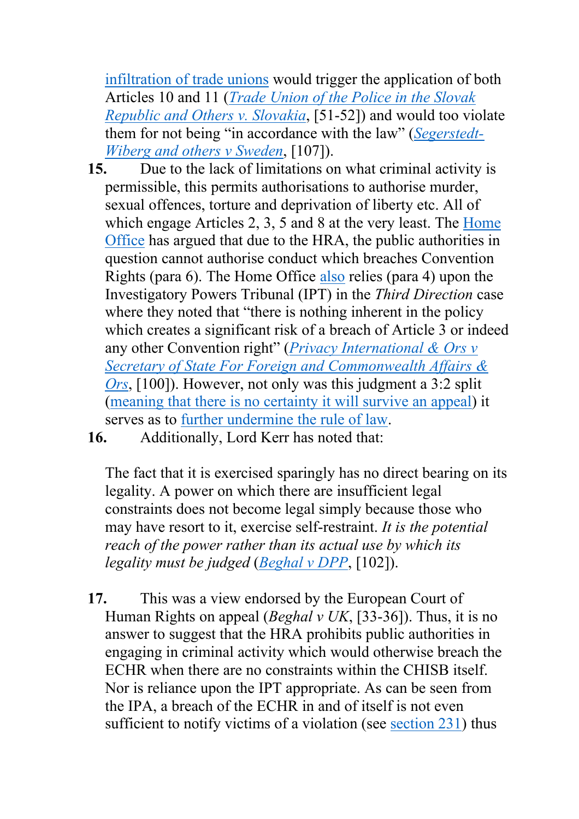[infiltration](https://labourlist.org/2020/10/joint-statement-by-unions-mps-and-campaigners-on-chis-spycops-bill/) [of](https://labourlist.org/2020/10/joint-statement-by-unions-mps-and-campaigners-on-chis-spycops-bill/) [trade](https://labourlist.org/2020/10/joint-statement-by-unions-mps-and-campaigners-on-chis-spycops-bill/) [unions](https://labourlist.org/2020/10/joint-statement-by-unions-mps-and-campaigners-on-chis-spycops-bill/) would trigger the applica[ti](http://hudoc.echr.coe.int/eng?i=001-113335)on of [b](http://hudoc.echr.coe.int/eng?i=001-113335)oth Articles 10 and 11 (*[Trade](http://hudoc.echr.coe.int/eng?i=001-113335) [Union](http://hudoc.echr.coe.int/eng?i=001-113335) [of](http://hudoc.echr.coe.int/eng?i=001-113335) [the](http://hudoc.echr.coe.int/eng?i=001-113335) [Police](http://hudoc.echr.coe.int/eng?i=001-113335) [in](http://hudoc.echr.coe.int/eng?i=001-113335) [the](http://hudoc.echr.coe.int/eng?i=001-113335) [Slovak](http://hudoc.echr.coe.int/eng?i=001-113335) [Republic](http://hudoc.echr.coe.int/eng?i=001-113335) [and](http://hudoc.echr.coe.int/eng?i=001-113335) [Others](http://hudoc.echr.coe.int/eng?i=001-113335) [v.](http://hudoc.echr.coe.int/eng?i=001-113335) [Slovakia](http://hudoc.echr.coe.int/eng?i=001-113335)*, [51-52]) and would too violate them for not being "in accordance with the law" (*[Segerstedt-](http://hudoc.echr.coe.int/eng?i=001-75591)[Wiberg](http://hudoc.echr.coe.int/eng?i=001-75591) [and](http://hudoc.echr.coe.int/eng?i=001-75591) [others](http://hudoc.echr.coe.int/eng?i=001-75591) [v](http://hudoc.echr.coe.int/eng?i=001-75591) [Sweden](http://hudoc.echr.coe.int/eng?i=001-75591)*, [107]).

- **15.** Due to the lack of limitations on what criminal activity is permissible, this permits authorisations to authorise murder, sexual offences, torture and deprivation of liberty etc. All of which engage Articles 2, 3, 5 and 8 at the very least. The [Home](https://publications.parliament.uk/pa/bills/cbill/58-01/0188/CHIS%20(CC)%20Bill%20-%20ECHR%20Memo%20FINAL.pdf) [Office](https://publications.parliament.uk/pa/bills/cbill/58-01/0188/CHIS%20(CC)%20Bill%20-%20ECHR%20Memo%20FINAL.pdf) has argued that due to the HRA, the public authorities in question cannot authorise conduct which breaches Convention Rights (para 6). The Home Office [also](https://publications.parliament.uk/pa/bills/cbill/58-01/0188/CHIS%20(CC)%20Bill%20-%20ECHR%20Memo%20FINAL.pdf) relies (para 4) upon the Investigatory Powers Tribunal (IPT) in the *Third Direction* case where they noted that "there is nothing inherent in the policy which creates a significant risk of a breach of Article 3 or indeed any other Convention right" (*[Privacy](https://www.bailii.org/uk/cases/UKIPTrib/2019/IPT_17_186_CH.html) [International](https://www.bailii.org/uk/cases/UKIPTrib/2019/IPT_17_186_CH.html) [&](https://www.bailii.org/uk/cases/UKIPTrib/2019/IPT_17_186_CH.html) [Ors](https://www.bailii.org/uk/cases/UKIPTrib/2019/IPT_17_186_CH.html) [v](https://www.bailii.org/uk/cases/UKIPTrib/2019/IPT_17_186_CH.html) [Secretary](https://www.bailii.org/uk/cases/UKIPTrib/2019/IPT_17_186_CH.html) [of](https://www.bailii.org/uk/cases/UKIPTrib/2019/IPT_17_186_CH.html) [State](https://www.bailii.org/uk/cases/UKIPTrib/2019/IPT_17_186_CH.html) [For](https://www.bailii.org/uk/cases/UKIPTrib/2019/IPT_17_186_CH.html) [Foreign](https://www.bailii.org/uk/cases/UKIPTrib/2019/IPT_17_186_CH.html) [and](https://www.bailii.org/uk/cases/UKIPTrib/2019/IPT_17_186_CH.html) [Commonwealth](https://www.bailii.org/uk/cases/UKIPTrib/2019/IPT_17_186_CH.html) [Affairs](https://www.bailii.org/uk/cases/UKIPTrib/2019/IPT_17_186_CH.html) [&](https://www.bailii.org/uk/cases/UKIPTrib/2019/IPT_17_186_CH.html) [Ors](https://www.bailii.org/uk/cases/UKIPTrib/2019/IPT_17_186_CH.html)*, [100]). However, not only was this judgment a 3:2 split [\(meaning](https://www.gardencourtchambers.co.uk/news/the-covert-human-intelligence-sources-criminal-conduct-bill-2020) [that](https://www.gardencourtchambers.co.uk/news/the-covert-human-intelligence-sources-criminal-conduct-bill-2020) [there](https://www.gardencourtchambers.co.uk/news/the-covert-human-intelligence-sources-criminal-conduct-bill-2020) [is](https://www.gardencourtchambers.co.uk/news/the-covert-human-intelligence-sources-criminal-conduct-bill-2020) [no](https://www.gardencourtchambers.co.uk/news/the-covert-human-intelligence-sources-criminal-conduct-bill-2020) [certainty](https://www.gardencourtchambers.co.uk/news/the-covert-human-intelligence-sources-criminal-conduct-bill-2020) [it](https://www.gardencourtchambers.co.uk/news/the-covert-human-intelligence-sources-criminal-conduct-bill-2020) [will](https://www.gardencourtchambers.co.uk/news/the-covert-human-intelligence-sources-criminal-conduct-bill-2020) [survive](https://www.gardencourtchambers.co.uk/news/the-covert-human-intelligence-sources-criminal-conduct-bill-2020) [an](https://www.gardencourtchambers.co.uk/news/the-covert-human-intelligence-sources-criminal-conduct-bill-2020) [appeal\)](https://www.gardencourtchambers.co.uk/news/the-covert-human-intelligence-sources-criminal-conduct-bill-2020) it serves as to [further](https://ukconstitutionallaw.org/2020/07/24/daniella-lock-the-third-direction-case-part-two-the-doctrine-of-necessary-implication-and-uncertainty-in-national-security-law/) [undermine](https://ukconstitutionallaw.org/2020/07/24/daniella-lock-the-third-direction-case-part-two-the-doctrine-of-necessary-implication-and-uncertainty-in-national-security-law/) [the](https://ukconstitutionallaw.org/2020/07/24/daniella-lock-the-third-direction-case-part-two-the-doctrine-of-necessary-implication-and-uncertainty-in-national-security-law/) [rule](https://ukconstitutionallaw.org/2020/07/24/daniella-lock-the-third-direction-case-part-two-the-doctrine-of-necessary-implication-and-uncertainty-in-national-security-law/) [of](https://ukconstitutionallaw.org/2020/07/24/daniella-lock-the-third-direction-case-part-two-the-doctrine-of-necessary-implication-and-uncertainty-in-national-security-law/) [law.](https://ukconstitutionallaw.org/2020/07/24/daniella-lock-the-third-direction-case-part-two-the-doctrine-of-necessary-implication-and-uncertainty-in-national-security-law/)
- **16.** Additionally, Lord Kerr has noted that:

The fact that it is exercised sparingly has no direct bearing on its legality. A power on which there are insufficient legal constraints does not become legal simply because those who may have resort to it, exercise self-restraint. *It is the potential reach of the power rather than its actual use by which its legality must be judged* (*[Beghal](https://www.supremecourt.uk/cases/docs/uksc-2013-0243-judgment.pdf) [v](https://www.supremecourt.uk/cases/docs/uksc-2013-0243-judgment.pdf) [DPP](https://www.supremecourt.uk/cases/docs/uksc-2013-0243-judgment.pdf)*, [102]).

**17.** This was a view endorsed by the European Court of Human Rights on appeal (*Beghal v UK*, [33-36]). Thus, it is no answer to suggest that the HRA prohibits public authorities in engaging in criminal activity which would otherwise breach the ECHR when there are no constraints within the CHISB itself. Nor is reliance upon the IPT appropriate. As can be seen from the IPA, a breach of the ECHR in and of itself is not even sufficient to notify victims of a violation (see [section](https://www.legislation.gov.uk/ukpga/2016/25/section/231/enacted) [231\)](https://www.legislation.gov.uk/ukpga/2016/25/section/231/enacted) thus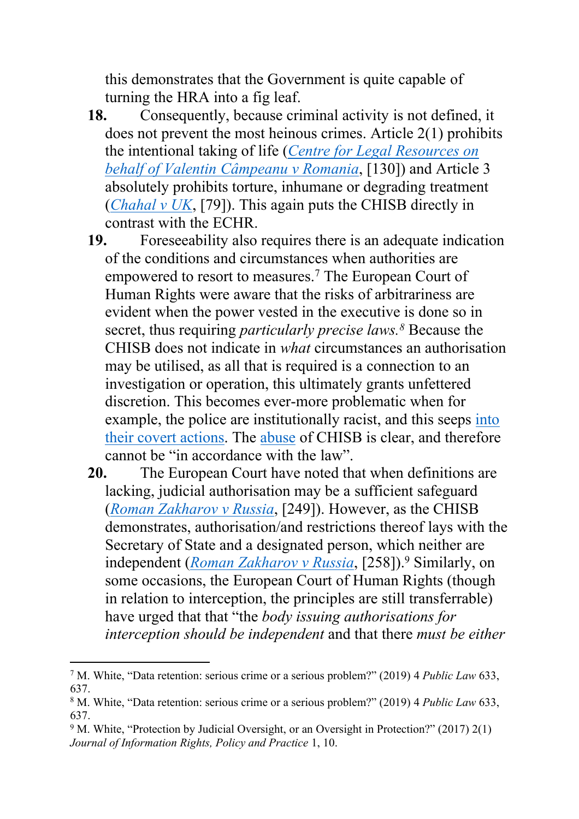this demonstrates that the Government is quite capable of turning the HRA into a fig leaf.

- **18.** Consequently, because criminal activity is not defined, it does not prevent the most heinous crimes. Article 2(1) prohibits the intentional taking of life (*[Centre](http://hudoc.echr.coe.int/eng?i=001-145577) [for](http://hudoc.echr.coe.int/eng?i=001-145577) [Legal](http://hudoc.echr.coe.int/eng?i=001-145577) [Resources](http://hudoc.echr.coe.int/eng?i=001-145577) [on](http://hudoc.echr.coe.int/eng?i=001-145577) [behalf](http://hudoc.echr.coe.int/eng?i=001-145577) [of](http://hudoc.echr.coe.int/eng?i=001-145577) [Valentin](http://hudoc.echr.coe.int/eng?i=001-145577) [Câmpeanu](http://hudoc.echr.coe.int/eng?i=001-145577) [v](http://hudoc.echr.coe.int/eng?i=001-145577) [Romania](http://hudoc.echr.coe.int/eng?i=001-145577)*, [130]) and Article 3 absolutely prohibits torture, inhumane or degrading treatment (*[Chahal](http://hudoc.echr.coe.int/eng?i=001-58004) [v](http://hudoc.echr.coe.int/eng?i=001-58004) [UK](http://hudoc.echr.coe.int/eng?i=001-58004)*, [79]). This again puts the CHISB directly in contrast with the ECHR.
- **19.** Foreseeability also requires there is an adequate indication of the conditions and circumstances when authorities are empowered to resort to measures.<sup>7</sup> The European Court of Human Rights were aware that the risks of arbitrariness are evident when the power vested in the executive is done so in secret, thus requiring *particularly precise laws.<sup>8</sup>* Because the CHISB does not indicate in *what* circumstances an authorisation may be utilised, as all that is required is a connection to an investigation or operation, this ultimately grants unfettered discretion. This becomes ever-more problematic when for example, the police are institutionally racist, and this seeps [into](https://www.crimeandjustice.org.uk/sites/crimeandjustice.org.uk/files/Spycops%20in%20context%20%E2%80%93%20a%20brief%20history%20of%20political%20policing%20in%20Britain_0.pdf) [their](https://www.crimeandjustice.org.uk/sites/crimeandjustice.org.uk/files/Spycops%20in%20context%20%E2%80%93%20a%20brief%20history%20of%20political%20policing%20in%20Britain_0.pdf) [covert](https://www.crimeandjustice.org.uk/sites/crimeandjustice.org.uk/files/Spycops%20in%20context%20%E2%80%93%20a%20brief%20history%20of%20political%20policing%20in%20Britain_0.pdf) [actions.](https://www.crimeandjustice.org.uk/sites/crimeandjustice.org.uk/files/Spycops%20in%20context%20%E2%80%93%20a%20brief%20history%20of%20political%20policing%20in%20Britain_0.pdf) The [abuse](https://www.gardencourtchambers.co.uk/news/the-covert-human-intelligence-sources-criminal-conduct-bill-2020) of CHISB is clear, and therefore cannot be "in accordance with the law".
- **20.** The European Court have noted that when definitions are lacking, judicial authorisation may be a sufficient safeguard (*[Roman](http://hudoc.echr.coe.int/eng?i=001-159324) [Zakharov](http://hudoc.echr.coe.int/eng?i=001-159324) [v](http://hudoc.echr.coe.int/eng?i=001-159324) [Russia](http://hudoc.echr.coe.int/eng?i=001-159324)*, [249]). However, as the CHISB demonstrates, authorisation/and restrictions thereof lays with the Secretary of State and a designated person, which neither are independent (*[Roman](http://hudoc.echr.coe.int/eng?i=001-159324) [Zakharov](http://hudoc.echr.coe.int/eng?i=001-159324) [v](http://hudoc.echr.coe.int/eng?i=001-159324) [Russia](http://hudoc.echr.coe.int/eng?i=001-159324)*, [258]).<sup>9</sup> Similarly, on some occasions, the European Court of Human Rights (though in relation to interception, the principles are still transferrable) have urged that that "the *body issuing authorisations for interception should be independent* and that there *must be either*

<sup>7</sup> M. White, "Data retention: serious crime or a serious problem?" (2019) 4 *Public Law* 633, 637.

<sup>8</sup> M. White, "Data retention: serious crime or a serious problem?" (2019) 4 *Public Law* 633, 637.

<sup>9</sup> M. White, "Protection by Judicial Oversight, or an Oversight in Protection?" (2017) 2(1) *Journal of Information Rights, Policy and Practice* 1, 10.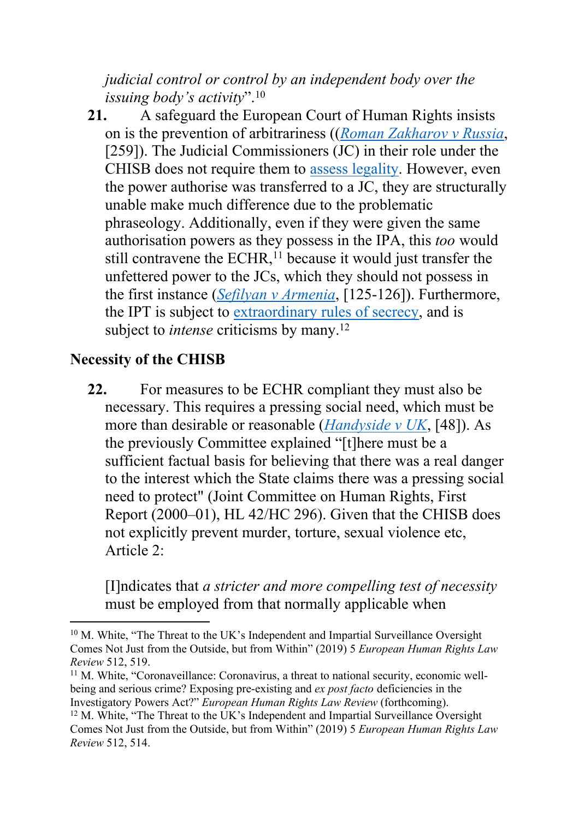*judicial control or control by an independent body over the issuing body's activity*".<sup>10</sup>

**21.** A safeguard the European Court of Human Rights insists on is the prevention of arbitrariness ((*[Roman](http://hudoc.echr.coe.int/eng?i=001-159324) [Zakharov](http://hudoc.echr.coe.int/eng?i=001-159324) [v](http://hudoc.echr.coe.int/eng?i=001-159324) [Russia](http://hudoc.echr.coe.int/eng?i=001-159324)*, [259]). The Judicial Commissioners (JC) in their role under the CHISB does not require them to [assess](https://www.gardencourtchambers.co.uk/news/the-covert-human-intelligence-sources-criminal-conduct-bill-2020) [legality.](https://www.gardencourtchambers.co.uk/news/the-covert-human-intelligence-sources-criminal-conduct-bill-2020) However, even the power authorise was transferred to a JC, they are structurally unable make much difference due to the problematic phraseology. Additionally, even if they were given the same authorisation powers as they possess in the IPA, this *too* would still contravene the ECHR, $<sup>11</sup>$  because it would just transfer the</sup> unfettered power to the JCs, which they should not possess in the first instance (*[Sefilyan](http://hudoc.echr.coe.int/eng?i=001-113296) [v](http://hudoc.echr.coe.int/eng?i=001-113296) [Armenia](http://hudoc.echr.coe.int/eng?i=001-113296)*, [125-126]). Furthermore, the IPT is subject to [extraordinary](https://www.gardencourtchambers.co.uk/news/the-covert-human-intelligence-sources-criminal-conduct-bill-2020) [rules](https://www.gardencourtchambers.co.uk/news/the-covert-human-intelligence-sources-criminal-conduct-bill-2020) [of](https://www.gardencourtchambers.co.uk/news/the-covert-human-intelligence-sources-criminal-conduct-bill-2020) [secrecy,](https://www.gardencourtchambers.co.uk/news/the-covert-human-intelligence-sources-criminal-conduct-bill-2020) and is subject to *intense* criticisms by many.<sup>12</sup>

## **Necessity of the CHISB**

**22.** For measures to be ECHR compliant they must also be necessary. This requires a pressing social need, which must be more than desirable or reasonable (*[Handyside](http://hudoc.echr.coe.int/eng?i=001-57499) [v](http://hudoc.echr.coe.int/eng?i=001-57499) [UK](http://hudoc.echr.coe.int/eng?i=001-57499)*, [48]). As the previously Committee explained "[t]here must be a sufficient factual basis for believing that there was a real danger to the interest which the State claims there was a pressing social need to protect" (Joint Committee on Human Rights, First Report (2000–01), HL 42/HC 296). Given that the CHISB does not explicitly prevent murder, torture, sexual violence etc, Article 2:

[I]ndicates that *a stricter and more compelling test of necessity* must be employed from that normally applicable when

<sup>10</sup> M. White, "The Threat to the UK's Independent and Impartial Surveillance Oversight Comes Not Just from the Outside, but from Within" (2019) 5 *European Human Rights Law Review* 512, 519.

<sup>&</sup>lt;sup>11</sup> M. White, "Coronaveillance: Coronavirus, a threat to national security, economic wellbeing and serious crime? Exposing pre-existing and *ex post facto* deficiencies in the Investigatory Powers Act?" *European Human Rights Law Review* (forthcoming).

<sup>12</sup> M. White, "The Threat to the UK's Independent and Impartial Surveillance Oversight Comes Not Just from the Outside, but from Within" (2019) 5 *European Human Rights Law Review* 512, 514.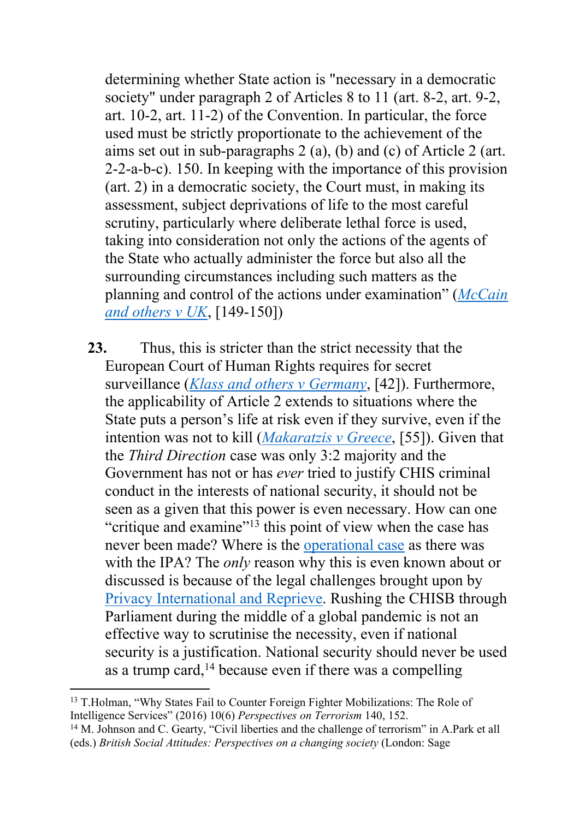determining whether State action is "necessary in a democratic society" under paragraph 2 of Articles 8 to 11 (art. 8-2, art. 9-2, art. 10-2, art. 11-2) of the Convention. In particular, the force used must be strictly proportionate to the achievement of the aims set out in sub-paragraphs 2 (a), (b) and (c) of Article 2 (art. 2-2-a-b-c). 150. In keeping with the importance of this provision (art. 2) in a democratic society, the Court must, in making its assessment, subject deprivations of life to the most careful scrutiny, particularly where deliberate lethal force is used, taking into consideration not only the actions of the agents of the State who actually administer the force but also all the surrounding circumstances including such matters as the planning and control of the actions under examination" (*[McCain](http://hudoc.echr.coe.int/eng?i=001-57943) [and](http://hudoc.echr.coe.int/eng?i=001-57943) [others](http://hudoc.echr.coe.int/eng?i=001-57943) [v](http://hudoc.echr.coe.int/eng?i=001-57943) [UK](http://hudoc.echr.coe.int/eng?i=001-57943)*, [149-150])

**23.** Thus, this is stricter than the strict necessity that the European Court of Human Rights requires for secret surveillance (*[Klass](http://hudoc.echr.coe.int/eng?i=001-57510) [and](http://hudoc.echr.coe.int/eng?i=001-57510) [others](http://hudoc.echr.coe.int/eng?i=001-57510) [v](http://hudoc.echr.coe.int/eng?i=001-57510) [Germany](http://hudoc.echr.coe.int/eng?i=001-57510)*, [42]). Furthermore, the applicability of Article 2 extends to situations where the State puts a person's life at risk even if they survive, even if the intention was not to kill (*[Makaratzis](http://hudoc.echr.coe.int/eng?i=001-67820) [v](http://hudoc.echr.coe.int/eng?i=001-67820) [Greece](http://hudoc.echr.coe.int/eng?i=001-67820)*, [55]). Given that the *Third Direction* case was only 3:2 majority and the Government has not or has *ever* tried to justify CHIS criminal conduct in the interests of national security, it should not be seen as a given that this power is even necessary. How can one "critique and examine"<sup>13</sup> this point of view when the case has never been made? Where is the [operational](https://www.gov.uk/government/publications/investigatory-powers-bill-overarching-documents) [case](https://www.gov.uk/government/publications/investigatory-powers-bill-overarching-documents) as there was with the IPA? The *only* reason why this is even known about or discussed is because of the legal challenges brought upon by [Privacy](https://privacyinternational.org/legal-action/third-direction-challenge) [International](https://privacyinternational.org/legal-action/third-direction-challenge) [and](https://privacyinternational.org/legal-action/third-direction-challenge) [Reprieve](https://privacyinternational.org/legal-action/third-direction-challenge). Rushing the CHISB through Parliament during the middle of a global pandemic is not an effective way to scrutinise the necessity, even if national security is a justification. National security should never be used as a trump card,  $14$  because even if there was a compelling

<sup>14</sup> M. Johnson and C. Gearty, "Civil liberties and the challenge of terrorism" in A.Park et all (eds.) *British Social Attitudes: Perspectives on a changing society* (London: Sage

<sup>13</sup> T.Holman, "Why States Fail to Counter Foreign Fighter Mobilizations: The Role of Intelligence Services" (2016) 10(6) *Perspectives on Terrorism* 140, 152.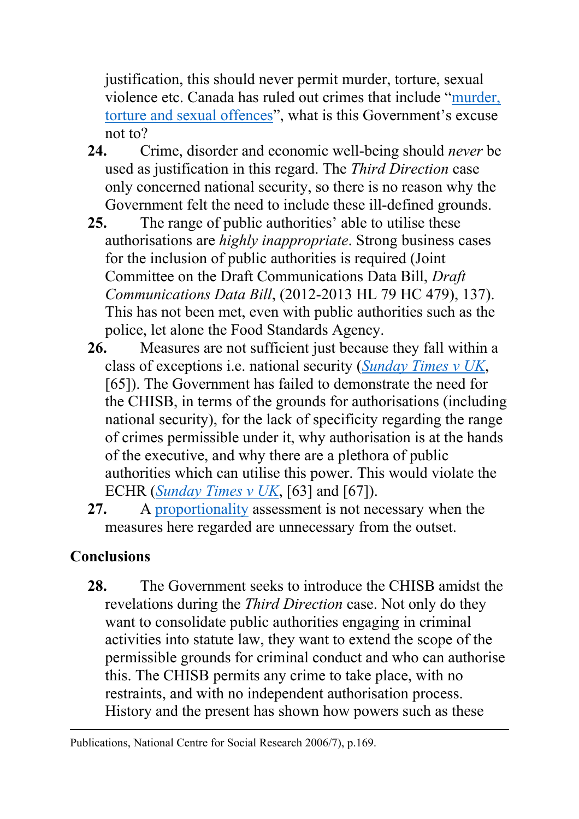justification, this should never permit murder, torture, sexual violence etc. Canada has ruled out crimes that include ["murder,](gardencourtchambers.co.uk/news/the-covert-human-intelligence-sources-criminal-conduct-bill-2020) [torture](gardencourtchambers.co.uk/news/the-covert-human-intelligence-sources-criminal-conduct-bill-2020) [and](gardencourtchambers.co.uk/news/the-covert-human-intelligence-sources-criminal-conduct-bill-2020) [sexual](gardencourtchambers.co.uk/news/the-covert-human-intelligence-sources-criminal-conduct-bill-2020) [offences"](gardencourtchambers.co.uk/news/the-covert-human-intelligence-sources-criminal-conduct-bill-2020), what is this Government's excuse not to?

- **24.** Crime, disorder and economic well-being should *never* be used as justification in this regard. The *Third Direction* case only concerned national security, so there is no reason why the Government felt the need to include these ill-defined grounds.
- **25.** The range of public authorities' able to utilise these authorisations are *highly inappropriate*. Strong business cases for the inclusion of public authorities is required (Joint Committee on the Draft Communications Data Bill, *Draft Communications Data Bill*, (2012-2013 HL 79 HC 479), 137). This has not been met, even with public authorities such as the police, let alone the Food Standards Agency.
- **26.** Measures are not sufficient just because they fall within a class of exceptions i.e. national security (*[Sunday](http://hudoc.echr.coe.int/eng?i=001-57584) [Times](http://hudoc.echr.coe.int/eng?i=001-57584) [v](http://hudoc.echr.coe.int/eng?i=001-57584) [UK](http://hudoc.echr.coe.int/eng?i=001-57584)*, [65]). The Government has failed to demonstrate the need for the CHISB, in terms of the grounds for authorisations (including national security), for the lack of specificity regarding the range of crimes permissible under it, why authorisation is at the hands of the executive, and why there are a plethora of public authorities which can utilise this power. This would violate the ECHR (*[Sunday](http://hudoc.echr.coe.int/eng?i=001-57584) [Times](http://hudoc.echr.coe.int/eng?i=001-57584) [v](http://hudoc.echr.coe.int/eng?i=001-57584) [UK](http://hudoc.echr.coe.int/eng?i=001-57584)*, [63] and [67]).
- **27.** A [proportionality](https://www.gardencourtchambers.co.uk/news/the-covert-human-intelligence-sources-criminal-conduct-bill-2020) assessment is not necessary when the measures here regarded are unnecessary from the outset.

## **Conclusions**

**28.** The Government seeks to introduce the CHISB amidst the revelations during the *Third Direction* case. Not only do they want to consolidate public authorities engaging in criminal activities into statute law, they want to extend the scope of the permissible grounds for criminal conduct and who can authorise this. The CHISB permits any crime to take place, with no restraints, and with no independent authorisation process. History and the present has shown how powers such as these

Publications, National Centre for Social Research 2006/7), p.169.